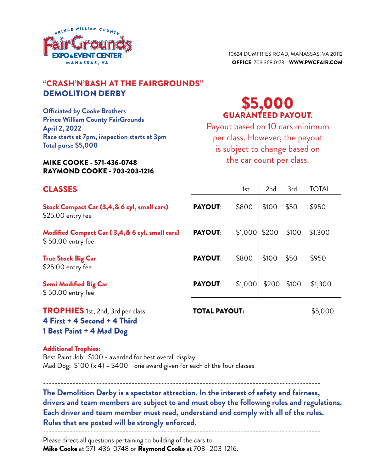

10624 dumfries road, manassas, va 20112 Office 703.368.0173 www.pwcfair.com

### "CRASH'n'BASH AT the fairgrounds" Demolition derby

**Officiated by Cooke Brothers Prince William County FairGrounds April 2, 2022 Race starts at 7pm, inspection starts at 3pm Total purse \$5,000**

#### Mike Cooke - 571-436-0748 Raymond Cooke - 703-203-1216

## \$5,000 guaranteed payout.

Payout based on 10 cars minimum per class. However, the payout is subject to change based on the car count per class.

----------------------------------------------------------------------------------------------

| <b>CLASSES</b>                                                      |                      | 1st     | 2 <sub>nd</sub> | 3rd   | <b>TOTAL</b> |
|---------------------------------------------------------------------|----------------------|---------|-----------------|-------|--------------|
| Stock Compact Car (3,4,& 6 cyl, small cars)<br>\$25.00 entry fee    | <b>PAYOUT:</b>       | \$800   | \$100           | \$50  | \$950        |
| Modified Compact Car (3,4,& 6 cyl, small cars)<br>\$50.00 entry fee | <b>PAYOUT:</b>       | \$1,000 | \$200           | \$100 | \$1,300      |
| <b>True Stock Big Car</b><br>\$25.00 entry fee                      | <b>PAYOUT:</b>       | \$800   | \$100           | \$50  | \$950        |
| Semi Modified Big Car<br>\$50.00 entry fee                          | <b>PAYOUT:</b>       | \$1,000 | \$200           | \$100 | \$1,300      |
| TROPHIES 1st, 2nd, 3rd per class<br>4 First + 4 Second + 4 Third    | <b>TOTAL PAYOUT:</b> |         |                 |       | \$5,000      |

1 Best Paint + 4 Mad Dog

Additional Trophies:

Best Paint Job: \$100 - awarded for best overall display Mad Dog:  $$100 (x 4) = $400 -$  one award given for each of the four classes

----------------------------------------------------------------------------------------------

**The Demolition Derby is a spectator attraction. In the interest of safety and fairness, drivers and team members are subject to and must obey the following rules and regulations. Each driver and team member must read, understand and comply with all of the rules. Rules that are posted will be strongly enforced.**

Please direct all questions pertaining to building of the cars to Mike Cooke at 571-436-0748 or Raymond Cooke at 703- 203-1216.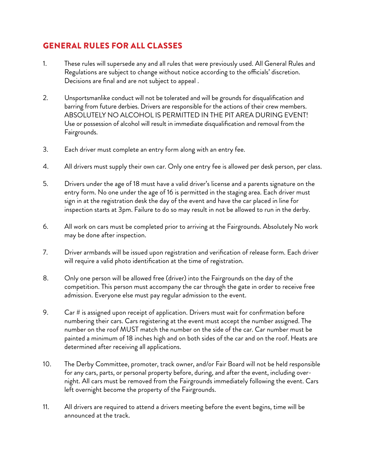#### General Rules for all Classes

- 1. These rules will supersede any and all rules that were previously used. All General Rules and Regulations are subject to change without notice according to the officials' discretion. Decisions are final and are not subject to appeal .
- 2. Unsportsmanlike conduct will not be tolerated and will be grounds for disqualification and barring from future derbies. Drivers are responsible for the actions of their crew members. ABSOLUTELY NO ALCOHOL IS PERMITTED IN THE PIT AREA DURING EVENT! Use or possession of alcohol will result in immediate disqualification and removal from the Fairgrounds.
- 3. Each driver must complete an entry form along with an entry fee.
- 4. All drivers must supply their own car. Only one entry fee is allowed per desk person, per class.
- 5. Drivers under the age of 18 must have a valid driver's license and a parents signature on the entry form. No one under the age of 16 is permitted in the staging area. Each driver must sign in at the registration desk the day of the event and have the car placed in line for inspection starts at 3pm. Failure to do so may result in not be allowed to run in the derby.
- 6. All work on cars must be completed prior to arriving at the Fairgrounds. Absolutely No work may be done after inspection.
- 7. Driver armbands will be issued upon registration and verification of release form. Each driver will require a valid photo identification at the time of registration.
- 8. Only one person will be allowed free (driver) into the Fairgrounds on the day of the competition. This person must accompany the car through the gate in order to receive free admission. Everyone else must pay regular admission to the event.
- 9. Car # is assigned upon receipt of application. Drivers must wait for confirmation before numbering their cars. Cars registering at the event must accept the number assigned. The number on the roof MUST match the number on the side of the car. Car number must be painted a minimum of 18 inches high and on both sides of the car and on the roof. Heats are determined after receiving all applications.
- 10. The Derby Committee, promoter, track owner, and/or Fair Board will not be held responsible for any cars, parts, or personal property before, during, and after the event, including overnight. All cars must be removed from the Fairgrounds immediately following the event. Cars left overnight become the property of the Fairgrounds.
- 11. All drivers are required to attend a drivers meeting before the event begins, time will be announced at the track.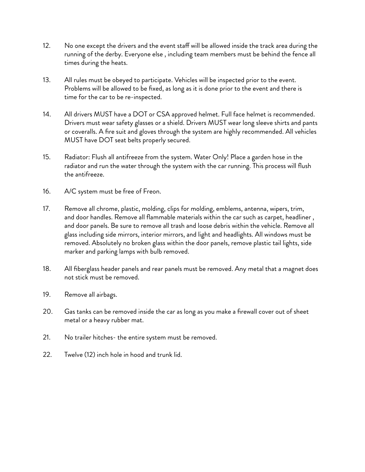- 12. No one except the drivers and the event staff will be allowed inside the track area during the running of the derby. Everyone else , including team members must be behind the fence all times during the heats.
- 13. All rules must be obeyed to participate. Vehicles will be inspected prior to the event. Problems will be allowed to be fixed, as long as it is done prior to the event and there is time for the car to be re-inspected.
- 14. All drivers MUST have a DOT or CSA approved helmet. Full face helmet is recommended. Drivers must wear safety glasses or a shield. Drivers MUST wear long sleeve shirts and pants or coveralls. A fire suit and gloves through the system are highly recommended. All vehicles MUST have DOT seat belts properly secured.
- 15. Radiator: Flush all antifreeze from the system. Water Only! Place a garden hose in the radiator and run the water through the system with the car running. This process will flush the antifreeze.
- 16. A/C system must be free of Freon.
- 17. Remove all chrome, plastic, molding, clips for molding, emblems, antenna, wipers, trim, and door handles. Remove all flammable materials within the car such as carpet, headliner , and door panels. Be sure to remove all trash and loose debris within the vehicle. Remove all glass including side mirrors, interior mirrors, and light and headlights. All windows must be removed. Absolutely no broken glass within the door panels, remove plastic tail lights, side marker and parking lamps with bulb removed.
- 18. All fiberglass header panels and rear panels must be removed. Any metal that a magnet does not stick must be removed.
- 19. Remove all airbags.
- 20. Gas tanks can be removed inside the car as long as you make a firewall cover out of sheet metal or a heavy rubber mat.
- 21. No trailer hitches- the entire system must be removed.
- 22. Twelve (12) inch hole in hood and trunk lid.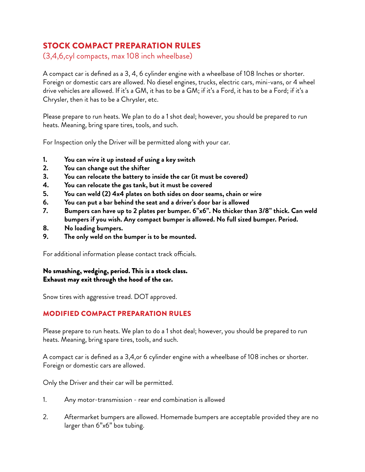## Stock Compact Preparation Rules

(3,4,6,cyl compacts, max 108 inch wheelbase)

A compact car is defined as a 3, 4, 6 cylinder engine with a wheelbase of 108 Inches or shorter. Foreign or domestic cars are allowed. No diesel engines, trucks, electric cars, mini-vans, or 4 wheel drive vehicles are allowed. If it's a GM, it has to be a GM; if it's a Ford, it has to be a Ford; if it's a Chrysler, then it has to be a Chrysler, etc.

Please prepare to run heats. We plan to do a 1 shot deal; however, you should be prepared to run heats. Meaning, bring spare tires, tools, and such.

For Inspection only the Driver will be permitted along with your car.

- **1. You can wire it up instead of using a key switch**
- **2. You can change out the shifter**
- **3. You can relocate the battery to inside the car (it must be covered)**
- **4. You can relocate the gas tank, but it must be covered**
- **5. You can weld (2) 4x4 plates on both sides on door seams, chain or wire**
- **6. You can put a bar behind the seat and a driver's door bar is allowed**
- **7. Bumpers can have up to 2 plates per bumper. 6"x6". No thicker than 3/8" thick. Can weld bumpers if you wish. Any compact bumper is allowed. No full sized bumper. Period.**
- **8. No loading bumpers.**
- **9. The only weld on the bumper is to be mounted.**

For additional information please contact track officials.

#### No smashing, wedging, period. This is a stock class. Exhaust may exit through the hood of the car.

Snow tires with aggressive tread. DOT approved.

#### Modified Compact Preparation Rules

Please prepare to run heats. We plan to do a 1 shot deal; however, you should be prepared to run heats. Meaning, bring spare tires, tools, and such.

A compact car is defined as a 3,4,or 6 cylinder engine with a wheelbase of 108 inches or shorter. Foreign or domestic cars are allowed.

Only the Driver and their car will be permitted.

- 1. Any motor-transmission rear end combination is allowed
- 2. Aftermarket bumpers are allowed. Homemade bumpers are acceptable provided they are no larger than 6"x6" box tubing.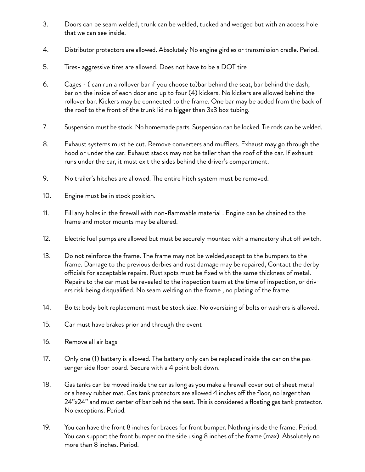- 3. Doors can be seam welded, trunk can be welded, tucked and wedged but with an access hole that we can see inside.
- 4. Distributor protectors are allowed. Absolutely No engine girdles or transmission cradle. Period.
- 5. Tires- aggressive tires are allowed. Does not have to be a DOT tire
- 6. Cages ( can run a rollover bar if you choose to)bar behind the seat, bar behind the dash, bar on the inside of each door and up to four (4) kickers. No kickers are allowed behind the rollover bar. Kickers may be connected to the frame. One bar may be added from the back of the roof to the front of the trunk lid no bigger than 3x3 box tubing.
- 7. Suspension must be stock. No homemade parts. Suspension can be locked. Tie rods can be welded.
- 8. Exhaust systems must be cut. Remove converters and mufflers. Exhaust may go through the hood or under the car. Exhaust stacks may not be taller than the roof of the car. If exhaust runs under the car, it must exit the sides behind the driver's compartment.
- 9. No trailer's hitches are allowed. The entire hitch system must be removed.
- 10. Engine must be in stock position.
- 11. Fill any holes in the firewall with non-flammable material . Engine can be chained to the frame and motor mounts may be altered.
- 12. Electric fuel pumps are allowed but must be securely mounted with a mandatory shut off switch.
- 13. Do not reinforce the frame. The frame may not be welded,except to the bumpers to the frame. Damage to the previous derbies and rust damage may be repaired, Contact the derby officials for acceptable repairs. Rust spots must be fixed with the same thickness of metal. Repairs to the car must be revealed to the inspection team at the time of inspection, or drivers risk being disqualified. No seam welding on the frame , no plating of the frame.
- 14. Bolts: body bolt replacement must be stock size. No oversizing of bolts or washers is allowed.
- 15. Car must have brakes prior and through the event
- 16. Remove all air bags
- 17. Only one (1) battery is allowed. The battery only can be replaced inside the car on the passenger side floor board. Secure with a 4 point bolt down.
- 18. Gas tanks can be moved inside the car as long as you make a firewall cover out of sheet metal or a heavy rubber mat. Gas tank protectors are allowed 4 inches off the floor, no larger than 24"x24" and must center of bar behind the seat. This is considered a floating gas tank protector. No exceptions. Period.
- 19. You can have the front 8 inches for braces for front bumper. Nothing inside the frame. Period. You can support the front bumper on the side using 8 inches of the frame (max). Absolutely no more than 8 inches. Period.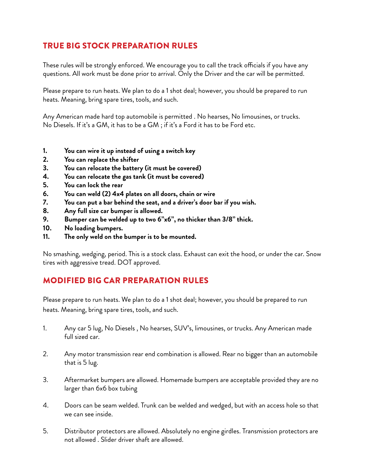### True Big Stock Preparation Rules

These rules will be strongly enforced. We encourage you to call the track officials if you have any questions. All work must be done prior to arrival. Only the Driver and the car will be permitted.

Please prepare to run heats. We plan to do a 1 shot deal; however, you should be prepared to run heats. Meaning, bring spare tires, tools, and such.

Any American made hard top automobile is permitted . No hearses, No limousines, or trucks. No Diesels. If it's a GM, it has to be a GM ; if it's a Ford it has to be Ford etc.

- **1. You can wire it up instead of using a switch key**
- **2. You can replace the shifter**
- **3. You can relocate the battery (it must be covered)**
- **4. You can relocate the gas tank (it must be covered)**
- **5. You can lock the rear**
- **6. You can weld (2) 4x4 plates on all doors, chain or wire**
- **7. You can put a bar behind the seat, and a driver's door bar if you wish.**
- **8. Any full size car bumper is allowed.**
- **9. Bumper can be welded up to two 6"x6", no thicker than 3/8" thick.**
- **10. No loading bumpers.**
- **11. The only weld on the bumper is to be mounted.**

No smashing, wedging, period. This is a stock class. Exhaust can exit the hood, or under the car. Snow tires with aggressive tread. DOT approved.

#### Modified Big Car Preparation Rules

Please prepare to run heats. We plan to do a 1 shot deal; however, you should be prepared to run heats. Meaning, bring spare tires, tools, and such.

- 1. Any car 5 lug, No Diesels , No hearses, SUV's, limousines, or trucks. Any American made full sized car.
- 2. Any motor transmission rear end combination is allowed. Rear no bigger than an automobile that is 5 lug.
- 3. Aftermarket bumpers are allowed. Homemade bumpers are acceptable provided they are no larger than 6x6 box tubing
- 4. Doors can be seam welded. Trunk can be welded and wedged, but with an access hole so that we can see inside.
- 5. Distributor protectors are allowed. Absolutely no engine girdles. Transmission protectors are not allowed . Slider driver shaft are allowed.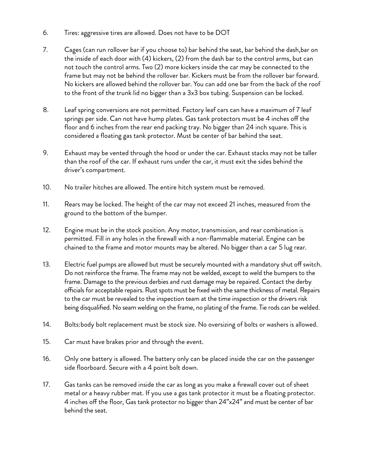- 6. Tires: aggressive tires are allowed. Does not have to be DOT
- 7. Cages (can run rollover bar if you choose to) bar behind the seat, bar behind the dash,bar on the inside of each door with (4) kickers, (2) from the dash bar to the control arms, but can not touch the control arms. Two (2) more kickers inside the car may be connected to the frame but may not be behind the rollover bar. Kickers must be from the rollover bar forward. No kickers are allowed behind the rollover bar. You can add one bar from the back of the roof to the front of the trunk lid no bigger than a 3x3 box tubing. Suspension can be locked.
- 8. Leaf spring conversions are not permitted. Factory leaf cars can have a maximum of 7 leaf springs per side. Can not have hump plates. Gas tank protectors must be 4 inches off the floor and 6 inches from the rear end packing tray. No bigger than 24 inch square. This is considered a floating gas tank protector. Must be center of bar behind the seat.
- 9. Exhaust may be vented through the hood or under the car. Exhaust stacks may not be taller than the roof of the car. If exhaust runs under the car, it must exit the sides behind the driver's compartment.
- 10. No trailer hitches are allowed. The entire hitch system must be removed.
- 11. Rears may be locked. The height of the car may not exceed 21 inches, measured from the ground to the bottom of the bumper.
- 12. Engine must be in the stock position. Any motor, transmission, and rear combination is permitted. Fill in any holes in the firewall with a non-flammable material. Engine can be chained to the frame and motor mounts may be altered. No bigger than a car 5 lug rear.
- 13. Electric fuel pumps are allowed but must be securely mounted with a mandatory shut off switch. Do not reinforce the frame. The frame may not be welded, except to weld the bumpers to the frame. Damage to the previous derbies and rust damage may be repaired. Contact the derby officials for acceptable repairs. Rust spots must be fixed with the same thickness of metal. Repairs to the car must be revealed to the inspection team at the time inspection or the drivers risk being disqualified. No seam welding on the frame, no plating of the frame. Tie rods can be welded.
- 14. Bolts:body bolt replacement must be stock size. No oversizing of bolts or washers is allowed.
- 15. Car must have brakes prior and through the event.
- 16. Only one battery is allowed. The battery only can be placed inside the car on the passenger side floorboard. Secure with a 4 point bolt down.
- 17. Gas tanks can be removed inside the car as long as you make a firewall cover out of sheet metal or a heavy rubber mat. If you use a gas tank protector it must be a floating protector. 4 inches off the floor, Gas tank protector no bigger than 24"x24" and must be center of bar behind the seat.